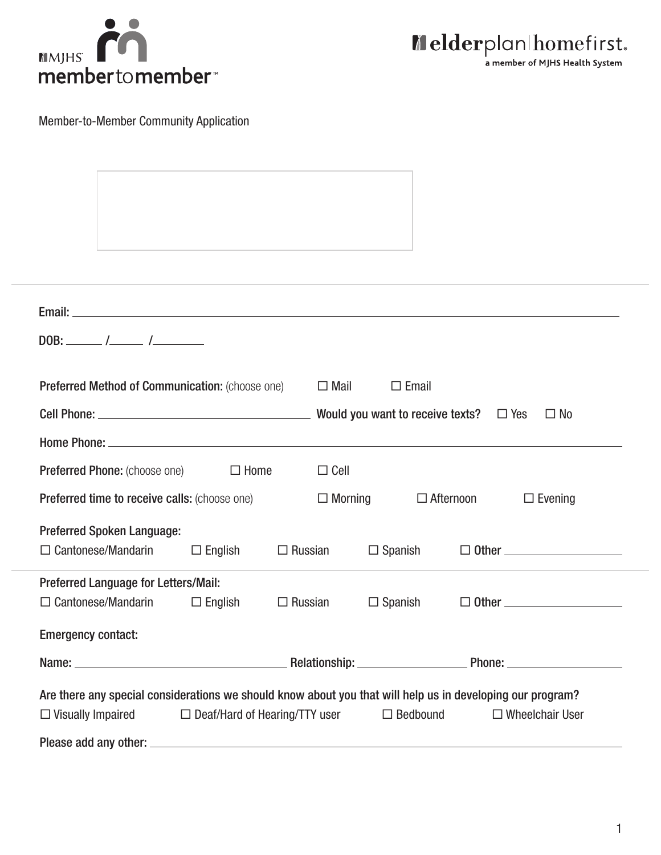



Member-to-Member Community Application

| DOB: $\frac{\sqrt{2}}{2}$                                                                                                                                                                                                      |                                      |                |             |                 |  |                        |
|--------------------------------------------------------------------------------------------------------------------------------------------------------------------------------------------------------------------------------|--------------------------------------|----------------|-------------|-----------------|--|------------------------|
|                                                                                                                                                                                                                                |                                      |                |             |                 |  |                        |
| Preferred Method of Communication: (choose one)                                                                                                                                                                                |                                      |                | $\Box$ Mail | $\Box$ Email    |  |                        |
|                                                                                                                                                                                                                                |                                      |                |             |                 |  | $\Box$ No              |
| Home Phone: New York Changes and the Changes of the Changes of the Changes of the Changes of the Changes of the Changes of the Changes of the Changes of the Changes of the Changes of the Changes of the Changes of the Chang |                                      |                |             |                 |  |                        |
| <b>Preferred Phone:</b> (choose one)<br>$\Box$ Home<br>$\Box$ Cell                                                                                                                                                             |                                      |                |             |                 |  |                        |
| Preferred time to receive calls: (choose one)                                                                                                                                                                                  |                                      |                |             |                 |  | $\Box$ Evening         |
| $\Box$ Morning<br>$\Box$ Afternoon                                                                                                                                                                                             |                                      |                |             |                 |  |                        |
| <b>Preferred Spoken Language:</b>                                                                                                                                                                                              |                                      |                |             |                 |  | $\Box$ Other $\Box$    |
| $\Box$ Cantonese/Mandarin                                                                                                                                                                                                      | $\Box$ English                       | $\Box$ Russian |             | $\Box$ Spanish  |  |                        |
| Preferred Language for Letters/Mail:                                                                                                                                                                                           |                                      |                |             |                 |  |                        |
| $\Box$ Cantonese/Mandarin                                                                                                                                                                                                      | $\Box$ English                       | $\Box$ Russian |             | $\Box$ Spanish  |  | $\Box$ Other $\_\_$    |
| <b>Emergency contact:</b>                                                                                                                                                                                                      |                                      |                |             |                 |  |                        |
|                                                                                                                                                                                                                                |                                      |                |             |                 |  |                        |
| Are there any special considerations we should know about you that will help us in developing our program?                                                                                                                     |                                      |                |             |                 |  |                        |
| $\Box$ Visually Impaired                                                                                                                                                                                                       | $\Box$ Deaf/Hard of Hearing/TTY user |                |             | $\Box$ Bedbound |  | $\Box$ Wheelchair User |
|                                                                                                                                                                                                                                |                                      |                |             |                 |  |                        |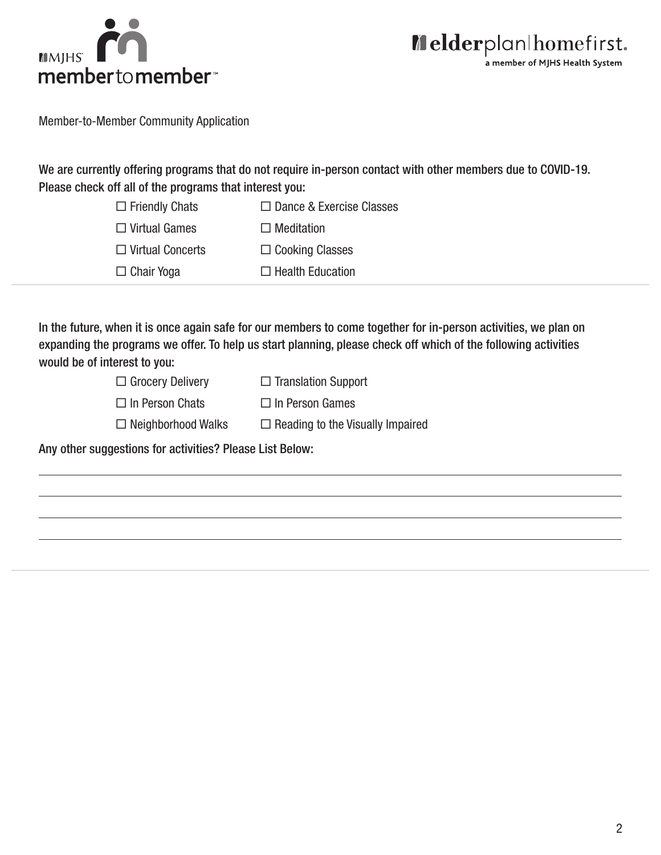



Member-to-Member Community Application

We are currently offering programs that do not require in-person contact with other members due to COVID-19. Please check off all of the programs that interest you:

| $\Box$ Friendly Chats   | $\Box$ Dance & Exercise Classes |
|-------------------------|---------------------------------|
| $\Box$ Virtual Games    | $\Box$ Meditation               |
| $\Box$ Virtual Concerts | $\Box$ Cooking Classes          |
| $\Box$ Chair Yoga       | $\Box$ Health Education         |

In the future, when it is once again safe for our members to come together for in-person activities, we plan on expanding the programs we offer. To help us start planning, please check off which of the following activities would be of interest to you:

| $\Box$ Grocery Delivery   | $\Box$ Translation Support              |
|---------------------------|-----------------------------------------|
| $\Box$ In Person Chats    | $\Box$ In Person Games                  |
| $\Box$ Neighborhood Walks | $\Box$ Reading to the Visually Impaired |

Any other suggestions for activities? Please List Below: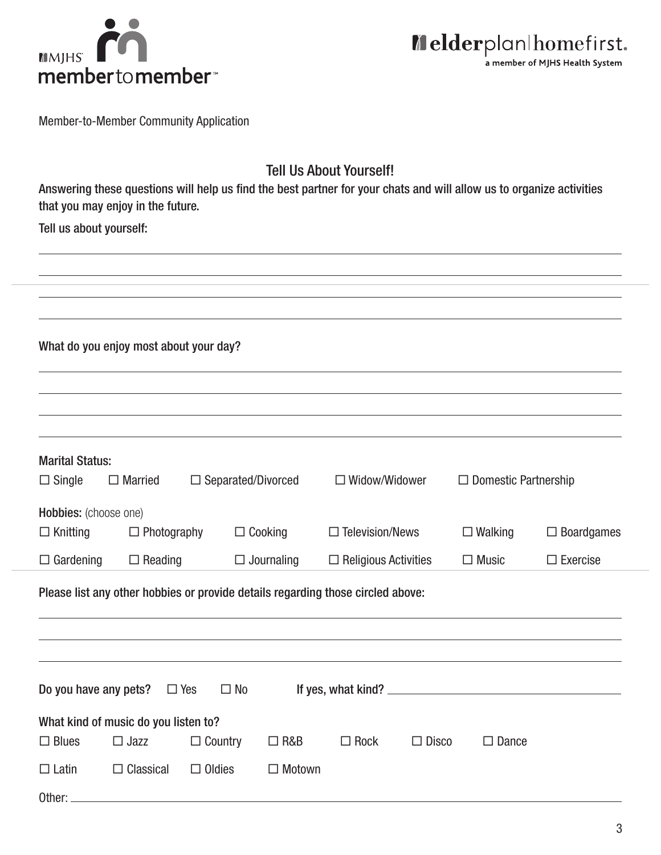



Member-to-Member Community Application

## Tell Us About Yourself!

Answering these questions will help us find the best partner for your chats and will allow us to organize activities that you may enjoy in the future.

Tell us about yourself:

|                                                                                                                                                                                                              | What do you enjoy most about your day?              |                           |                |                        |              |                             |                   |
|--------------------------------------------------------------------------------------------------------------------------------------------------------------------------------------------------------------|-----------------------------------------------------|---------------------------|----------------|------------------------|--------------|-----------------------------|-------------------|
| <b>Marital Status:</b><br>$\Box$ Single                                                                                                                                                                      | $\Box$ Married                                      | $\Box$ Separated/Divorced |                | $\Box$ Widow/Widower   |              | $\Box$ Domestic Partnership |                   |
| Hobbies: (choose one)<br>$\Box$ Knitting                                                                                                                                                                     | $\Box$ Photography                                  |                           | $\Box$ Cooking | $\Box$ Television/News |              | $\Box$ Walking              | $\Box$ Boardgames |
| $\Box$ Gardening<br>$\Box$ Reading<br>$\Box$ Journaling<br>$\Box$ Religious Activities<br>$\Box$ Music<br>$\Box$ Exercise<br>Please list any other hobbies or provide details regarding those circled above: |                                                     |                           |                |                        |              |                             |                   |
|                                                                                                                                                                                                              |                                                     |                           |                |                        |              |                             |                   |
| Do you have any pets?                                                                                                                                                                                        |                                                     | $\Box$ Yes<br>$\Box$ No   |                |                        |              |                             |                   |
| $\Box$ Blues                                                                                                                                                                                                 | What kind of music do you listen to?<br>$\Box$ Jazz | $\Box$ Country            | $\Box$ R&B     | $\Box$ Rock            | $\Box$ Disco | $\square$ Dance             |                   |
| $\Box$ Latin<br>Other:                                                                                                                                                                                       | $\Box$ Classical                                    | $\Box$ Oldies             | $\Box$ Motown  |                        |              |                             |                   |